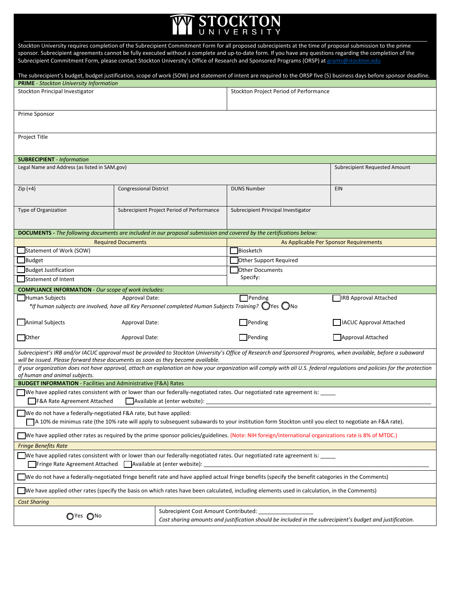## **OCKTON** STOCKTON

Stockton University requires completion of the Subrecipient Commitment Form for all proposed subrecipients at the time [of proposal submission to the prime](mailto:Pantelia.Bairaktaris@stockton.edu)  sponsor. Subrecipient agreements cannot be fully executed without a complete and up-to-date form. If you have any questions regarding the completion of the Subrecipient Commitment Form, please contact Stockton University's Office of Research and Sponsored Programs (ORSP) at grants@stockton.edu

| The subrecipient's budget, budget justification, scope of work (SOW) and statement of intent are required to the ORSP five (5) business days before sponsor deadline.                                                                               |                                                                                   |  |                                                                                                                                                    |                                        |  |  |
|-----------------------------------------------------------------------------------------------------------------------------------------------------------------------------------------------------------------------------------------------------|-----------------------------------------------------------------------------------|--|----------------------------------------------------------------------------------------------------------------------------------------------------|----------------------------------------|--|--|
| <b>PRIME</b> - Stockton University Information                                                                                                                                                                                                      |                                                                                   |  |                                                                                                                                                    |                                        |  |  |
| Stockton Principal Investigator                                                                                                                                                                                                                     |                                                                                   |  | Stockton Project Period of Performance                                                                                                             |                                        |  |  |
| Prime Sponsor                                                                                                                                                                                                                                       |                                                                                   |  |                                                                                                                                                    |                                        |  |  |
| Project Title                                                                                                                                                                                                                                       |                                                                                   |  |                                                                                                                                                    |                                        |  |  |
| <b>SUBRECIPIENT</b> - Information                                                                                                                                                                                                                   |                                                                                   |  |                                                                                                                                                    |                                        |  |  |
| Legal Name and Address (as listed in SAM.gov)                                                                                                                                                                                                       |                                                                                   |  |                                                                                                                                                    | Subrecipient Requested Amount          |  |  |
| $Zip (+4)$                                                                                                                                                                                                                                          | <b>Congressional District</b>                                                     |  | <b>DUNS Number</b>                                                                                                                                 | EIN                                    |  |  |
| Type of Organization                                                                                                                                                                                                                                | Subrecipient Project Period of Performance<br>Subrecipient Principal Investigator |  |                                                                                                                                                    |                                        |  |  |
| DOCUMENTS - The following documents are included in our proposal submission and covered by the certifications below:                                                                                                                                |                                                                                   |  |                                                                                                                                                    |                                        |  |  |
|                                                                                                                                                                                                                                                     | <b>Required Documents</b>                                                         |  |                                                                                                                                                    | As Applicable Per Sponsor Requirements |  |  |
| Statement of Work (SOW)                                                                                                                                                                                                                             |                                                                                   |  | Biosketch                                                                                                                                          |                                        |  |  |
| Budget                                                                                                                                                                                                                                              |                                                                                   |  | Other Support Required                                                                                                                             |                                        |  |  |
| Budget Justification                                                                                                                                                                                                                                |                                                                                   |  | Other Documents                                                                                                                                    |                                        |  |  |
| Statement of Intent                                                                                                                                                                                                                                 |                                                                                   |  | Specify:                                                                                                                                           |                                        |  |  |
| <b>COMPLIANCE INFORMATION</b> - Our scope of work includes:                                                                                                                                                                                         |                                                                                   |  |                                                                                                                                                    |                                        |  |  |
| Human Subjects                                                                                                                                                                                                                                      | Approval Date:                                                                    |  | Pending                                                                                                                                            | <b>IRB Approval Attached</b>           |  |  |
| *If human subjects are involved, have all Key Personnel completed Human Subjects Training? $\bigcirc$ Yes $\bigcirc$ No                                                                                                                             |                                                                                   |  |                                                                                                                                                    |                                        |  |  |
| Animal Subjects                                                                                                                                                                                                                                     | Approval Date:                                                                    |  | Pending                                                                                                                                            | <b>IACUC Approval Attached</b>         |  |  |
| $\Box$ Other                                                                                                                                                                                                                                        | Approval Date:                                                                    |  | $\Box$ Pending                                                                                                                                     | Approval Attached                      |  |  |
| Subrecipient's IRB and/or IACUC approval must be provided to Stockton University's Office of Research and Sponsored Programs, when available, before a subaward<br>will be issued. Please forward these documents as soon as they become available. |                                                                                   |  |                                                                                                                                                    |                                        |  |  |
| If your organization does not have approval, attach an explanation on how your organization will comply with all U.S. federal regulations and policies for the protection                                                                           |                                                                                   |  |                                                                                                                                                    |                                        |  |  |
| of human and animal subjects.<br><b>BUDGET INFORMATION - Facilities and Administrative (F&amp;A) Rates</b>                                                                                                                                          |                                                                                   |  |                                                                                                                                                    |                                        |  |  |
| We have applied rates consistent with or lower than our federally-negotiated rates. Our negotiated rate agreement is:<br>F&A Rate Agreement Attached<br>Available at (enter website):                                                               |                                                                                   |  |                                                                                                                                                    |                                        |  |  |
| □ We do not have a federally-negotiated F&A rate, but have applied:<br>TA 10% de minimus rate (the 10% rate will apply to subsequent subawards to your institution form Stockton until you elect to negotiate an F&A rate).                         |                                                                                   |  |                                                                                                                                                    |                                        |  |  |
| We have applied other rates as required by the prime sponsor policies/guidelines. (Note: NIH foreign/international organizations rate is 8% of MTDC.)                                                                                               |                                                                                   |  |                                                                                                                                                    |                                        |  |  |
| <b>Fringe Benefits Rate</b>                                                                                                                                                                                                                         |                                                                                   |  |                                                                                                                                                    |                                        |  |  |
| We have applied rates consistent with or lower than our federally-negotiated rates. Our negotiated rate agreement is:<br>Fringe Rate Agreement Attached   Available at (enter website):                                                             |                                                                                   |  |                                                                                                                                                    |                                        |  |  |
| We do not have a federally-negotiated fringe benefit rate and have applied actual fringe benefits (specify the benefit categories in the Comments)                                                                                                  |                                                                                   |  |                                                                                                                                                    |                                        |  |  |
| We have applied other rates (specify the basis on which rates have been calculated, including elements used in calculation, in the Comments)                                                                                                        |                                                                                   |  |                                                                                                                                                    |                                        |  |  |
| <b>Cost Sharing</b>                                                                                                                                                                                                                                 |                                                                                   |  |                                                                                                                                                    |                                        |  |  |
| OYes ONo                                                                                                                                                                                                                                            |                                                                                   |  | Subrecipient Cost Amount Contributed:<br>Cost sharing amounts and justification should be included in the subrecipient's budget and justification. |                                        |  |  |